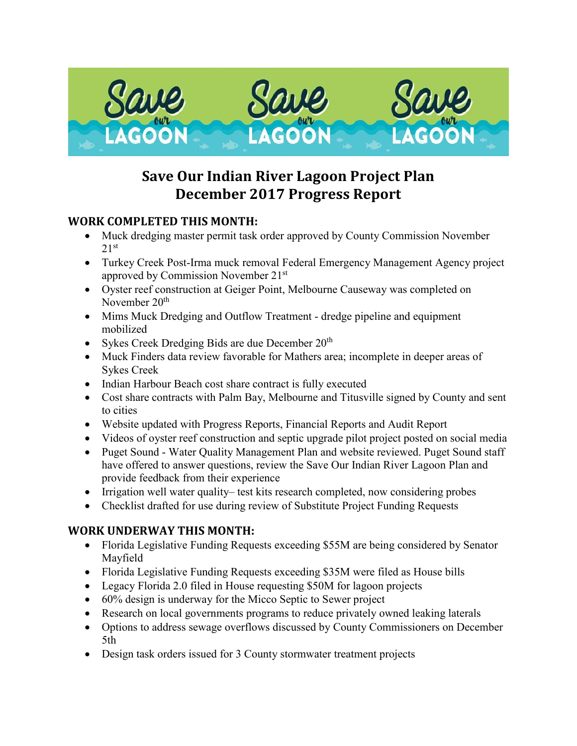

# **Save Our Indian River Lagoon Project Plan December 2017 Progress Report**

### **WORK COMPLETED THIS MONTH:**

- Muck dredging master permit task order approved by County Commission November  $21<sup>st</sup>$
- Turkey Creek Post-Irma muck removal Federal Emergency Management Agency project approved by Commission November 21st
- Oyster reef construction at Geiger Point, Melbourne Causeway was completed on November 20<sup>th</sup>
- Mims Muck Dredging and Outflow Treatment dredge pipeline and equipment mobilized
- Sykes Creek Dredging Bids are due December  $20<sup>th</sup>$
- Muck Finders data review favorable for Mathers area; incomplete in deeper areas of Sykes Creek
- Indian Harbour Beach cost share contract is fully executed
- Cost share contracts with Palm Bay, Melbourne and Titusville signed by County and sent to cities
- Website updated with Progress Reports, Financial Reports and Audit Report
- Videos of oyster reef construction and septic upgrade pilot project posted on social media
- Puget Sound Water Quality Management Plan and website reviewed. Puget Sound staff have offered to answer questions, review the Save Our Indian River Lagoon Plan and provide feedback from their experience
- Irrigation well water quality– test kits research completed, now considering probes
- Checklist drafted for use during review of Substitute Project Funding Requests

# **WORK UNDERWAY THIS MONTH:**

- Florida Legislative Funding Requests exceeding \$55M are being considered by Senator Mayfield
- Florida Legislative Funding Requests exceeding \$35M were filed as House bills
- Legacy Florida 2.0 filed in House requesting \$50M for lagoon projects
- 60% design is underway for the Micco Septic to Sewer project
- Research on local governments programs to reduce privately owned leaking laterals
- Options to address sewage overflows discussed by County Commissioners on December 5th
- Design task orders issued for 3 County stormwater treatment projects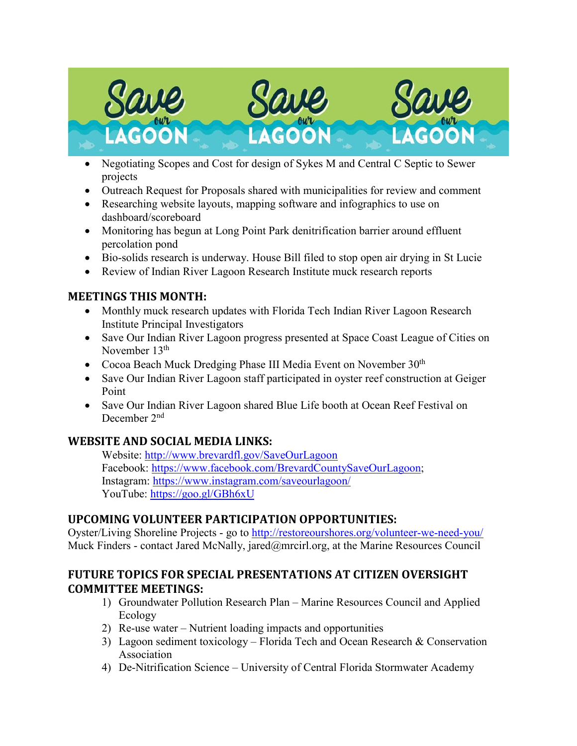

- Negotiating Scopes and Cost for design of Sykes M and Central C Septic to Sewer projects
- Outreach Request for Proposals shared with municipalities for review and comment
- Researching website layouts, mapping software and infographics to use on dashboard/scoreboard
- Monitoring has begun at Long Point Park denitrification barrier around effluent percolation pond
- Bio-solids research is underway. House Bill filed to stop open air drying in St Lucie
- Review of Indian River Lagoon Research Institute muck research reports

### **MEETINGS THIS MONTH:**

- Monthly muck research updates with Florida Tech Indian River Lagoon Research Institute Principal Investigators
- Save Our Indian River Lagoon progress presented at Space Coast League of Cities on November 13<sup>th</sup>
- Cocoa Beach Muck Dredging Phase III Media Event on November  $30<sup>th</sup>$
- Save Our Indian River Lagoon staff participated in oyster reef construction at Geiger Point
- Save Our Indian River Lagoon shared Blue Life booth at Ocean Reef Festival on December 2nd

# **WEBSITE AND SOCIAL MEDIA LINKS:**

Website:<http://www.brevardfl.gov/SaveOurLagoon> Facebook: [https://www.facebook.com/BrevardCountySaveOurLagoon;](https://www.facebook.com/BrevardCountySaveOurLagoon) Instagram:<https://www.instagram.com/saveourlagoon/> YouTube:<https://goo.gl/GBh6xU>

# **UPCOMING VOLUNTEER PARTICIPATION OPPORTUNITIES:**

Oyster/Living Shoreline Projects - go to<http://restoreourshores.org/volunteer-we-need-you/> Muck Finders - contact Jared McNally, jared@mrcirl.org, at the Marine Resources Council

### **FUTURE TOPICS FOR SPECIAL PRESENTATIONS AT CITIZEN OVERSIGHT COMMITTEE MEETINGS:**

- 1) Groundwater Pollution Research Plan Marine Resources Council and Applied Ecology
- 2) Re-use water Nutrient loading impacts and opportunities
- 3) Lagoon sediment toxicology Florida Tech and Ocean Research & Conservation Association
- 4) De-Nitrification Science University of Central Florida Stormwater Academy